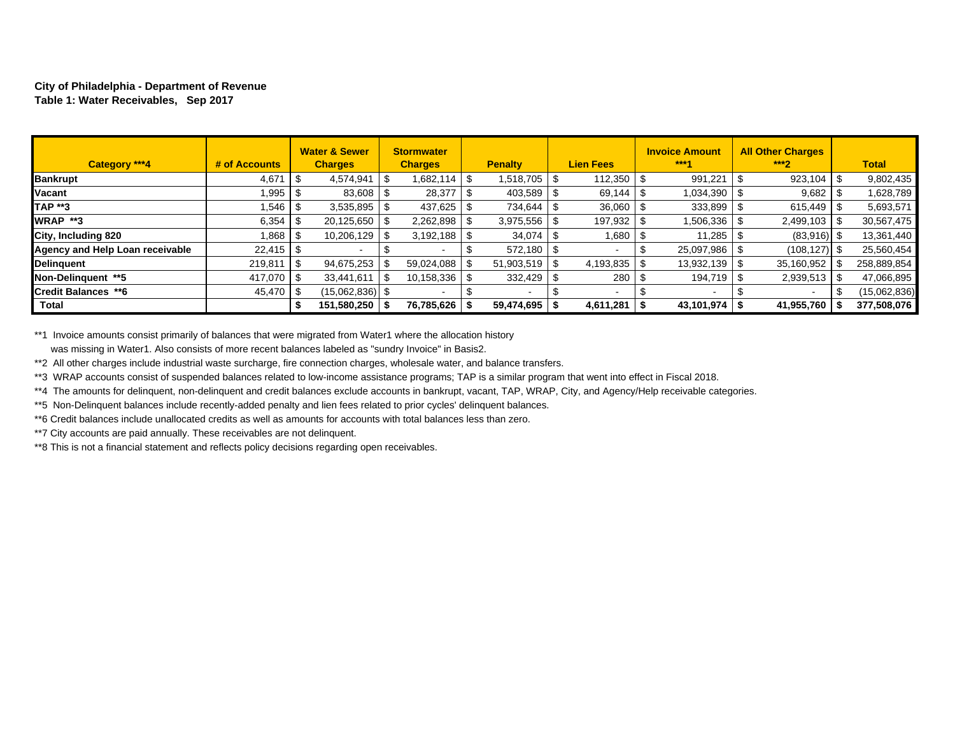#### **City of Philadelphia - Department of Revenue Table 1: Water Receivables, Sep 2017**

| Category ***4                   | # of Accounts |      | <b>Water &amp; Sewer</b><br><b>Charges</b> | <b>Stormwater</b><br><b>Charges</b> |      | <b>Penalty</b>       | <b>Lien Fees</b>         | <b>Invoice Amount</b><br>$***4$ |      | <b>All Other Charges</b><br>$***2$ | <b>Total</b> |
|---------------------------------|---------------|------|--------------------------------------------|-------------------------------------|------|----------------------|--------------------------|---------------------------------|------|------------------------------------|--------------|
| <b>Bankrupt</b>                 | 4,671         | l \$ | 4,574,941                                  | 1,682,114                           | -\$  | 1,518,705 \$         |                          | 991,221                         |      | 923,104                            | 9,802,435    |
| Vacant                          | .995          |      | 83,608                                     | 28,377                              |      | 403,589              | 69,144                   | 1,034,390                       |      | 9,682                              | 1,628,789    |
| <b>TAP **3</b>                  | .546          | । ১  | 3,535,895                                  | 437,625                             |      | 734,644              | 36,060                   | 333,899                         |      | 615.449                            | 5,693,571    |
| WRAP **3                        | 6,354         | l S  | 20,125,650                                 | 2,262,898                           |      | 3,975,556            | $197,932$ \ \$           | 1,506,336                       |      | 2,499,103                          | 30,567,475   |
| City, Including 820             | 1,868 │ \$    |      | 10,206,129                                 | 3,192,188                           | - 56 | 34,074               | 1,680                    | 11,285                          |      | $(83,916)$ \$                      | 13,361,440   |
| Agency and Help Loan receivable | $22,415$ \$   |      |                                            |                                     |      | $572.180$ $\sqrt{S}$ |                          | 25,097,986                      |      | $(108, 127)$ \$                    | 25,560,454   |
| <b>Delinguent</b>               | 219,811       | l \$ | 94,675,253                                 | 59,024,088                          |      | $51,903,519$ \\$     |                          | 13,932,139                      | - \$ | 35,160,952                         | 258,889,854  |
| Non-Delinauent **5              | 417,070 \$    |      | 33,441,611                                 | 10,158,336                          | -S   | $332,429$ \ \$       | 280                      | 194,719                         |      | 2,939,513                          | 47,066,895   |
| <b>Credit Balances **6</b>      | 45,470 \$     |      | $(15,062,836)$ \$                          |                                     |      |                      | $\overline{\phantom{a}}$ |                                 |      |                                    | (15,062,836) |
| Total                           |               |      | 151,580,250                                | 76,785,626                          |      | 59,474,695           | $4,611,281$   \$         | $43,101,974$ \$                 |      | 41,955,760                         | 377,508,076  |

\*\*1 Invoice amounts consist primarily of balances that were migrated from Water1 where the allocation history was missing in Water1. Also consists of more recent balances labeled as "sundry Invoice" in Basis2.

\*\*2 All other charges include industrial waste surcharge, fire connection charges, wholesale water, and balance transfers.

\*\*3 WRAP accounts consist of suspended balances related to low-income assistance programs; TAP is a similar program that went into effect in Fiscal 2018.

\*\*4 The amounts for delinquent, non-delinquent and credit balances exclude accounts in bankrupt, vacant, TAP, WRAP, City, and Agency/Help receivable categories.

\*\*5 Non-Delinquent balances include recently-added penalty and lien fees related to prior cycles' delinquent balances.

\*\*6 Credit balances include unallocated credits as well as amounts for accounts with total balances less than zero.

\*\*7 City accounts are paid annually. These receivables are not delinquent.

\*\*8 This is not a financial statement and reflects policy decisions regarding open receivables.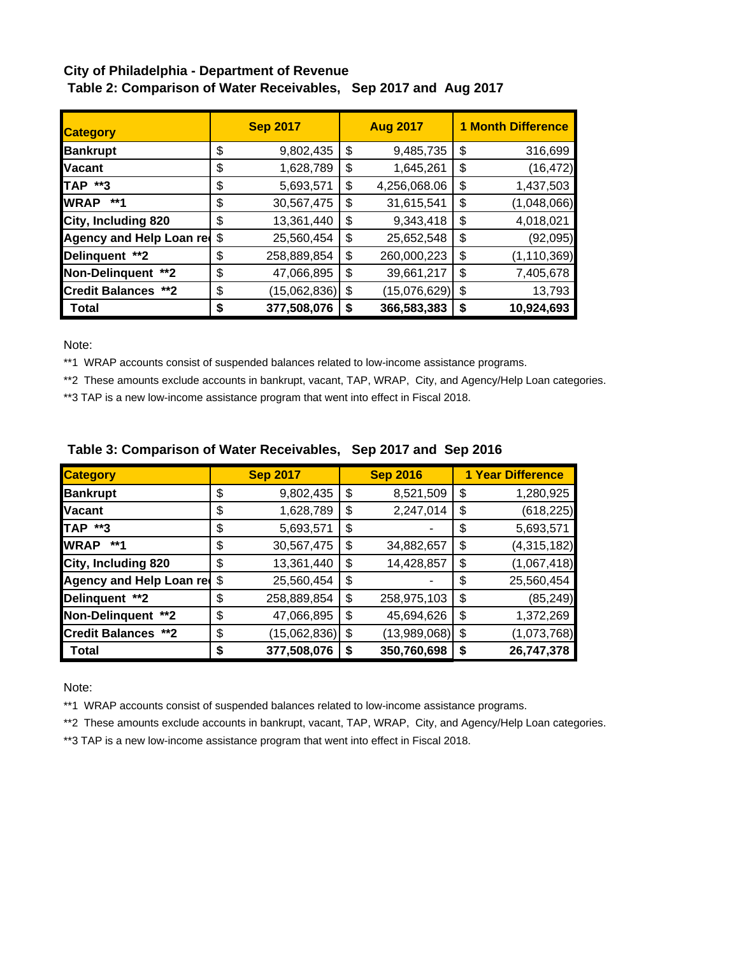# **City of Philadelphia - Department of Revenue Table 2: Comparison of Water Receivables, Sep 2017 and Aug 2017**

| <b>Category</b>            |    | <b>Sep 2017</b> |    | <b>Aug 2017</b> | <b>1 Month Difference</b> |               |  |  |  |
|----------------------------|----|-----------------|----|-----------------|---------------------------|---------------|--|--|--|
| <b>Bankrupt</b>            | \$ | 9,802,435       | \$ | 9,485,735       | \$                        | 316,699       |  |  |  |
| <b>Vacant</b>              | \$ | 1,628,789       | \$ | 1,645,261       | \$                        | (16, 472)     |  |  |  |
| TAP **3                    | \$ | 5,693,571       | \$ | 4,256,068.06    | \$                        | 1,437,503     |  |  |  |
| <b>WRAP</b><br>**1         | \$ | 30,567,475      | \$ | 31,615,541      | \$                        | (1,048,066)   |  |  |  |
| City, Including 820        | \$ | 13,361,440      | \$ | 9,343,418       | \$                        | 4,018,021     |  |  |  |
| Agency and Help Loan red   | \$ | 25,560,454      | \$ | 25,652,548      | \$                        | (92,095)      |  |  |  |
| Delinquent **2             | \$ | 258,889,854     | \$ | 260,000,223     | \$                        | (1, 110, 369) |  |  |  |
| Non-Delinquent **2         | \$ | 47,066,895      | \$ | 39,661,217      | \$                        | 7,405,678     |  |  |  |
| <b>Credit Balances **2</b> | \$ | (15,062,836)    | \$ | (15,076,629)    | \$                        | 13,793        |  |  |  |
| Total                      | S  | 377,508,076     | S  | 366,583,383     | \$                        | 10,924,693    |  |  |  |

Note:

\*\*1 WRAP accounts consist of suspended balances related to low-income assistance programs.

\*\*2 These amounts exclude accounts in bankrupt, vacant, TAP, WRAP, City, and Agency/Help Loan categories.

\*\*3 TAP is a new low-income assistance program that went into effect in Fiscal 2018.

| <b>Category</b>             |    | <b>Sep 2017</b> | <b>Sep 2016</b>    | <b>1 Year Difference</b> |
|-----------------------------|----|-----------------|--------------------|--------------------------|
| <b>Bankrupt</b>             | \$ | 9,802,435       | \$<br>8,521,509    | \$<br>1,280,925          |
| <b>Vacant</b>               | \$ | 1,628,789       | \$<br>2,247,014    | \$<br>(618, 225)         |
| <b>TAP **3</b>              | \$ | 5,693,571       | \$                 | \$<br>5,693,571          |
| <b>WRAP</b><br>**1          | \$ | 30,567,475      | \$<br>34,882,657   | \$<br>(4,315,182)        |
| City, Including 820         | \$ | 13,361,440      | \$<br>14,428,857   | \$<br>(1,067,418)        |
| Agency and Help Loan red \$ |    | 25,560,454      | \$                 | \$<br>25,560,454         |
| Delinquent **2              | \$ | 258,889,854     | \$<br>258,975,103  | \$<br>(85, 249)          |
| Non-Delinquent **2          | \$ | 47,066,895      | \$<br>45,694,626   | \$<br>1,372,269          |
| <b>Credit Balances **2</b>  | \$ | (15,062,836)    | \$<br>(13,989,068) | \$<br>(1,073,768)        |
| Total                       | S  | 377,508,076     | \$<br>350,760,698  | \$<br>26,747,378         |

## **Table 3: Comparison of Water Receivables, Sep 2017 and Sep 2016**

Note:

\*\*1 WRAP accounts consist of suspended balances related to low-income assistance programs.

\*\*2 These amounts exclude accounts in bankrupt, vacant, TAP, WRAP, City, and Agency/Help Loan categories.

\*\*3 TAP is a new low-income assistance program that went into effect in Fiscal 2018.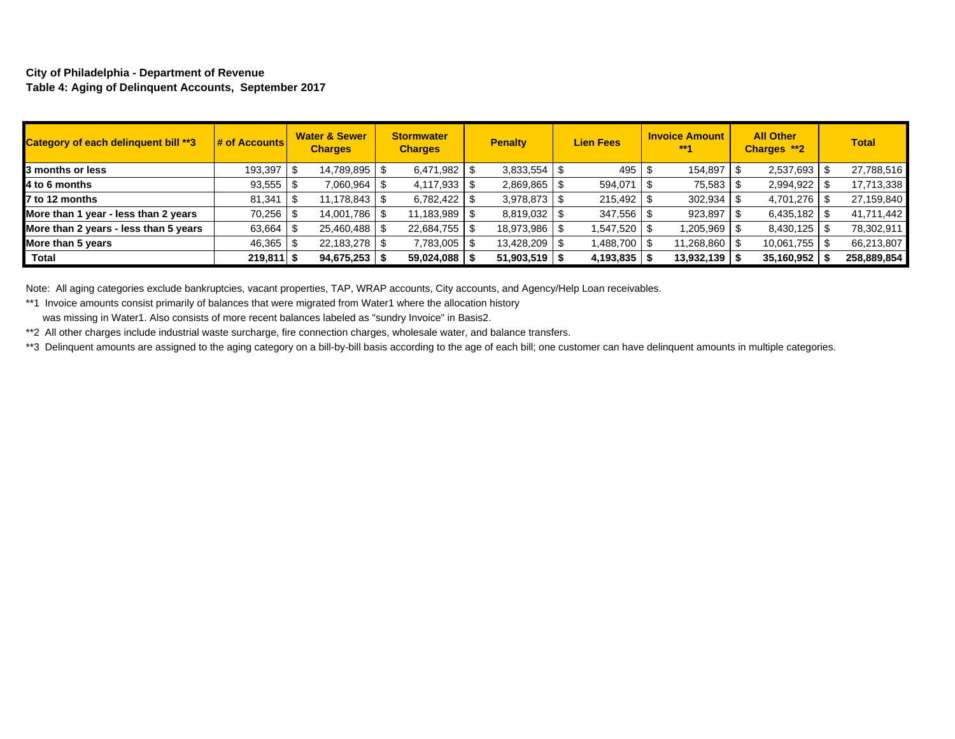#### **City of Philadelphia - Department of Revenue Table 4: Aging of Delinquent Accounts, September 2017**

| Category of each delinquent bill **3  | $\frac{1}{4}$ of Accounts | <b>Water &amp; Sewer</b><br><b>Charges</b> | <b>Stormwater</b><br><b>Charges</b> | <b>Invoice Amount</b><br><b>Lien Fees</b><br><b>Penalty</b><br>$***1$ |  | <b>All Other</b><br>Charges **2 | <b>Total</b>    |     |                |             |
|---------------------------------------|---------------------------|--------------------------------------------|-------------------------------------|-----------------------------------------------------------------------|--|---------------------------------|-----------------|-----|----------------|-------------|
| 3 months or less                      | 193,397                   | 14,789,895   \$                            | 6,471,982                           |                                                                       |  | 495                             | 154,897         | . ზ | 2,537,693      | 27,788,516  |
| 4 to 6 months                         | 93,555                    | 7,060,964 \$                               | 4,117,933                           | 2,869,865                                                             |  | 594,071                         | 75,583          |     | 2,994,922      | 17,713,338  |
| 7 to 12 months                        | 81,341                    |                                            | 6,782,422                           | $3,978,873$ \$                                                        |  | $215,492$ \$                    | 302,934         |     | 4,701,276      | 27,159,840  |
| More than 1 year - less than 2 years  | $70,256$ \ \$             | 14,001,786   \$                            | 11,183,989                          | 8,819,032   \$                                                        |  | 347,556                         | 923,897         |     | 6,435,182      | 41,711,442  |
| More than 2 years - less than 5 years | 63,664                    | 25,460,488 \$                              | 22,684,755                          | 18,973,986   \$                                                       |  | 1,547,520 \$                    | 1,205,969 \$    |     | $8,430,125$ \$ | 78,302,911  |
| More than 5 years                     | 46,365                    | 22,183,278 \$                              | 7,783,005                           | 13,428,209                                                            |  | 1,488,700                       | 11,268,860   \$ |     |                | 66,213,807  |
| Total                                 | $219,811$ \$              | 94,675,253                                 | 59,024,088                          | 51,903,519                                                            |  | $4,193,835$   \$                | 13,932,139      |     | 35,160,952     | 258,889,854 |

Note: All aging categories exclude bankruptcies, vacant properties, TAP, WRAP accounts, City accounts, and Agency/Help Loan receivables.

\*\*1 Invoice amounts consist primarily of balances that were migrated from Water1 where the allocation history

was missing in Water1. Also consists of more recent balances labeled as "sundry Invoice" in Basis2.

\*\*2 All other charges include industrial waste surcharge, fire connection charges, wholesale water, and balance transfers.

\*\*3 Delinquent amounts are assigned to the aging category on a bill-by-bill basis according to the age of each bill; one customer can have delinquent amounts in multiple categories.